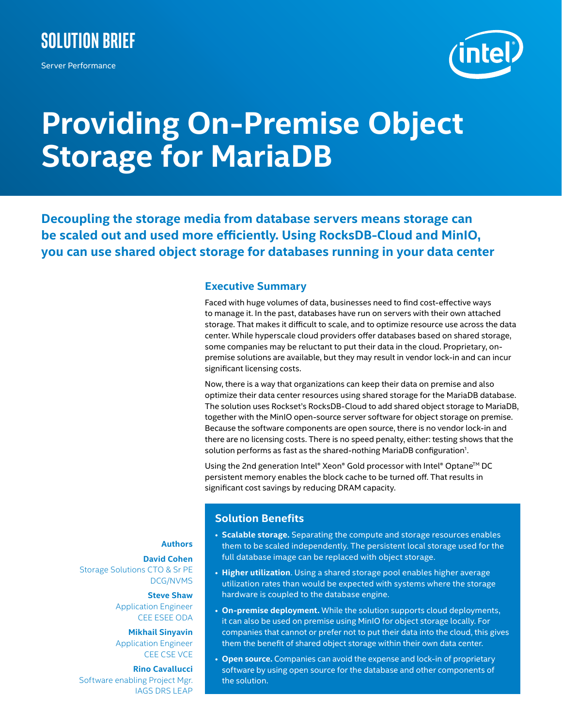

Server Performance



# **Providing On-Premise Object Storage for MariaDB**

**Decoupling the storage media from database servers means storage can be scaled out and used more efficiently. Using RocksDB-Cloud and MinIO, you can use shared object storage for databases running in your data center**

#### **Executive Summary**

Faced with huge volumes of data, businesses need to find cost-effective ways to manage it. In the past, databases have run on servers with their own attached storage. That makes it difficult to scale, and to optimize resource use across the data center. While hyperscale cloud providers offer databases based on shared storage, some companies may be reluctant to put their data in the cloud. Proprietary, onpremise solutions are available, but they may result in vendor lock-in and can incur significant licensing costs.

Now, there is a way that organizations can keep their data on premise and also optimize their data center resources using shared storage for the MariaDB database. The solution uses Rockset's RocksDB-Cloud to add shared object storage to MariaDB, together with the MinIO open-source server software for object storage on premise. Because the software components are open source, there is no vendor lock-in and there are no licensing costs. There is no speed penalty, either: testing shows that the solution performs as fast as the shared-nothing MariaDB configuration<sup>1</sup>.

Using the 2nd generation Intel® Xeon® Gold processor with Intel® Optane<sup>™</sup> DC persistent memory enables the block cache to be turned off. That results in significant cost savings by reducing DRAM capacity.

## **Solution Benefits**

- **Scalable storage.** Separating the compute and storage resources enables them to be scaled independently. The persistent local storage used for the full database image can be replaced with object storage.
- **Higher utilization**. Using a shared storage pool enables higher average utilization rates than would be expected with systems where the storage hardware is coupled to the database engine.
- **On-premise deployment.** While the solution supports cloud deployments, it can also be used on premise using MinIO for object storage locally. For companies that cannot or prefer not to put their data into the cloud, this gives them the benefit of shared object storage within their own data center.
- **Open source.** Companies can avoid the expense and lock-in of proprietary software by using open source for the database and other components of the solution.

## **Authors**

**David Cohen** Storage Solutions CTO & Sr PE DCG/NVMS

> **Steve Shaw** Application Engineer CEE ESEE ODA

> **Mikhail Sinyavin** Application Engineer CEE CSE VCE

**Rino Cavallucci** Software enabling Project Mgr. IAGS DRS LEAP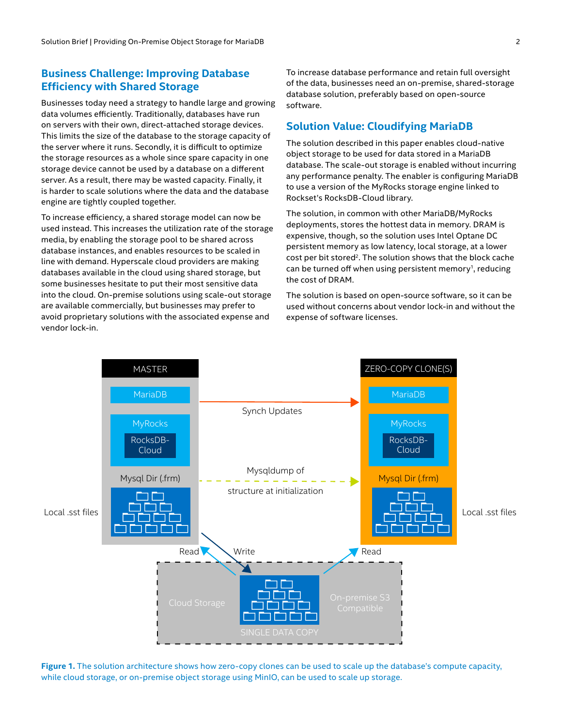### **Business Challenge: Improving Database Efficiency with Shared Storage**

Businesses today need a strategy to handle large and growing data volumes efficiently. Traditionally, databases have run on servers with their own, direct-attached storage devices. This limits the size of the database to the storage capacity of the server where it runs. Secondly, it is difficult to optimize the storage resources as a whole since spare capacity in one storage device cannot be used by a database on a different server. As a result, there may be wasted capacity. Finally, it is harder to scale solutions where the data and the database engine are tightly coupled together.

To increase efficiency, a shared storage model can now be used instead. This increases the utilization rate of the storage media, by enabling the storage pool to be shared across database instances, and enables resources to be scaled in line with demand. Hyperscale cloud providers are making databases available in the cloud using shared storage, but some businesses hesitate to put their most sensitive data into the cloud. On-premise solutions using scale-out storage are available commercially, but businesses may prefer to avoid proprietary solutions with the associated expense and vendor lock-in.

To increase database performance and retain full oversight of the data, businesses need an on-premise, shared-storage database solution, preferably based on open-source software.

#### **Solution Value: Cloudifying MariaDB**

The solution described in this paper enables cloud-native object storage to be used for data stored in a MariaDB database. The scale-out storage is enabled without incurring any performance penalty. The enabler is configuring MariaDB to use a version of the MyRocks storage engine linked to Rockset's RocksDB-Cloud library.

The solution, in common with other MariaDB/MyRocks deployments, stores the hottest data in memory. DRAM is expensive, though, so the solution uses Intel Optane DC persistent memory as low latency, local storage, at a lower cost per bit stored<sup>2</sup>. The solution shows that the block cache can be turned off when using persistent memory<sup>1</sup>, reducing the cost of DRAM.

The solution is based on open-source software, so it can be used without concerns about vendor lock-in and without the expense of software licenses.



**Figure 1.** The solution architecture shows how zero-copy clones can be used to scale up the database's compute capacity, while cloud storage, or on-premise object storage using MinIO, can be used to scale up storage.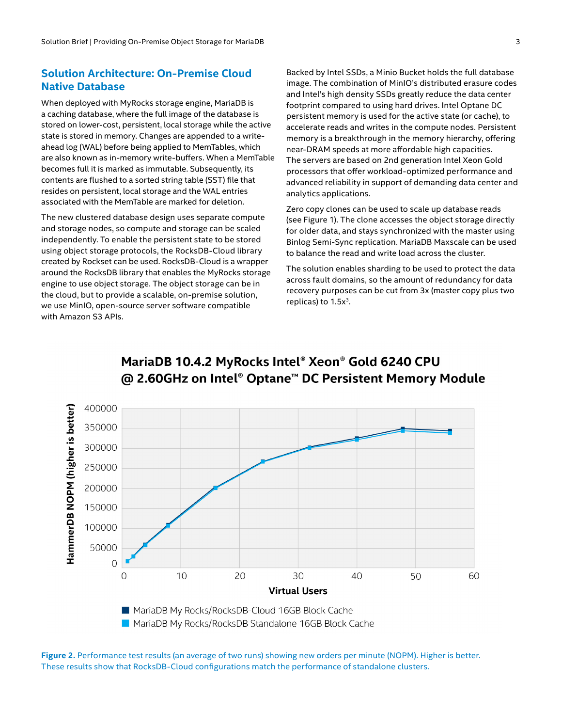#### **Solution Architecture: On-Premise Cloud Native Database**

When deployed with MyRocks storage engine, MariaDB is a caching database, where the full image of the database is stored on lower-cost, persistent, local storage while the active state is stored in memory. Changes are appended to a writeahead log (WAL) before being applied to MemTables, which are also known as in-memory write-buffers. When a MemTable becomes full it is marked as immutable. Subsequently, its contents are flushed to a sorted string table (SST) file that resides on persistent, local storage and the WAL entries associated with the MemTable are marked for deletion.

The new clustered database design uses separate compute and storage nodes, so compute and storage can be scaled independently. To enable the persistent state to be stored using object storage protocols, the RocksDB-Cloud library created by Rockset can be used. RocksDB-Cloud is a wrapper around the RocksDB library that enables the MyRocks storage engine to use object storage. The object storage can be in the cloud, but to provide a scalable, on-premise solution, we use MinIO, open-source server software compatible with Amazon S3 APIs.

Backed by Intel SSDs, a Minio Bucket holds the full database image. The combination of MinIO's distributed erasure codes and Intel's high density SSDs greatly reduce the data center footprint compared to using hard drives. Intel Optane DC persistent memory is used for the active state (or cache), to accelerate reads and writes in the compute nodes. Persistent memory is a breakthrough in the memory hierarchy, offering near-DRAM speeds at more affordable high capacities. The servers are based on 2nd generation Intel Xeon Gold processors that offer workload-optimized performance and advanced reliability in support of demanding data center and analytics applications.

Zero copy clones can be used to scale up database reads (see Figure 1). The clone accesses the object storage directly for older data, and stays synchronized with the master using Binlog Semi-Sync replication. MariaDB Maxscale can be used to balance the read and write load across the cluster.

The solution enables sharding to be used to protect the data across fault domains, so the amount of redundancy for data recovery purposes can be cut from 3x (master copy plus two replicas) to  $1.5x<sup>3</sup>$ .



# MariaDB 10.4.2 MyRocks Intel® Xeon® Gold 6240 CPU @ 2.60GHz on Intel® Optane™ DC Persistent Memory Module

**Figure 2.** Performance test results (an average of two runs) showing new orders per minute (NOPM). Higher is better. These results show that RocksDB-Cloud configurations match the performance of standalone clusters.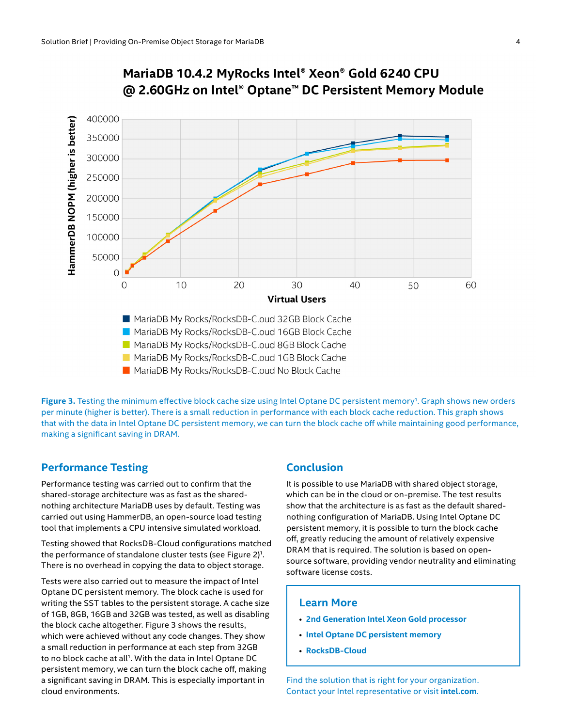

# MariaDB 10.4.2 MyRocks Intel® Xeon® Gold 6240 CPU @ 2.60GHz on Intel® Optane™ DC Persistent Memory Module

MariaDB My Rocks/RocksDB-Cloud No Block Cache

Figure 3. Testing the minimum effective block cache size using Intel Optane DC persistent memory<sup>1</sup>. Graph shows new orders per minute (higher is better). There is a small reduction in performance with each block cache reduction. This graph shows that with the data in Intel Optane DC persistent memory, we can turn the block cache off while maintaining good performance, making a significant saving in DRAM.

#### **Performance Testing**

Performance testing was carried out to confirm that the shared-storage architecture was as fast as the sharednothing architecture MariaDB uses by default. Testing was carried out using HammerDB, an open-source load testing tool that implements a CPU intensive simulated workload.

Testing showed that RocksDB-Cloud configurations matched the performance of standalone cluster tests (see Figure  $2$ )<sup>1</sup>. There is no overhead in copying the data to object storage.

Tests were also carried out to measure the impact of Intel Optane DC persistent memory. The block cache is used for writing the SST tables to the persistent storage. A cache size of 1GB, 8GB, 16GB and 32GB was tested, as well as disabling the block cache altogether. Figure 3 shows the results, which were achieved without any code changes. They show a small reduction in performance at each step from 32GB to no block cache at all<sup>1</sup>. With the data in Intel Optane DC persistent memory, we can turn the block cache off, making a significant saving in DRAM. This is especially important in cloud environments.

#### **Conclusion**

It is possible to use MariaDB with shared object storage, which can be in the cloud or on-premise. The test results show that the architecture is as fast as the default sharednothing configuration of MariaDB. Using Intel Optane DC persistent memory, it is possible to turn the block cache off, greatly reducing the amount of relatively expensive DRAM that is required. The solution is based on opensource software, providing vendor neutrality and eliminating software license costs.

#### **Learn More**

- **[2nd Generation Intel Xeon Gold processor](https://www.intel.com/content/www/us/en/products/processors/xeon/scalable/gold-processors.html)**
- **[Intel Optane DC persistent memory](https://www.intel.com/content/www/us/en/architecture-and-technology/optane-dc-persistent-memory.html)**
- **[RocksDB-Cloud](https://rockset.com/blog/rocksdb-cloud-enabling-the-next-generation-of-cloud-native-databases/)**

Find the solution that is right for your organization. Contact your Intel representative or visit **[intel.com](https://www.intel.com/content/www/us/en/homepage.html)**.